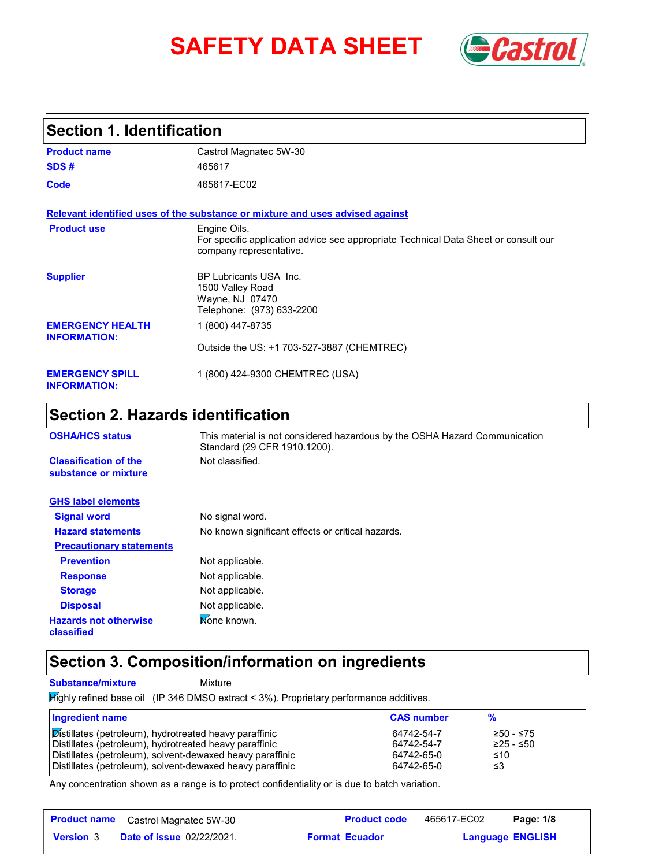# **SAFETY DATA SHEET** *Castrol*



### **Section 1. Identification**

| <b>Product name</b>                            | Castrol Magnatec 5W-30                                                                                                         |
|------------------------------------------------|--------------------------------------------------------------------------------------------------------------------------------|
| SDS#                                           | 465617                                                                                                                         |
| Code                                           | 465617-EC02                                                                                                                    |
|                                                | Relevant identified uses of the substance or mixture and uses advised against                                                  |
| <b>Product use</b>                             | Engine Oils.<br>For specific application advice see appropriate Technical Data Sheet or consult our<br>company representative. |
| <b>Supplier</b>                                | BP Lubricants USA Inc.<br>1500 Valley Road<br>Wayne, NJ 07470<br>Telephone: (973) 633-2200                                     |
| <b>EMERGENCY HEALTH</b><br><b>INFORMATION:</b> | 1 (800) 447-8735                                                                                                               |
|                                                | Outside the US: +1 703-527-3887 (CHEMTREC)                                                                                     |
| <b>EMERGENCY SPILL</b><br><b>INFORMATION:</b>  | 1 (800) 424-9300 CHEMTREC (USA)                                                                                                |

## **Section 2. Hazards identification**

| <b>OSHA/HCS status</b>                               | This material is not considered hazardous by the OSHA Hazard Communication<br>Standard (29 CFR 1910.1200). |
|------------------------------------------------------|------------------------------------------------------------------------------------------------------------|
| <b>Classification of the</b><br>substance or mixture | Not classified.                                                                                            |
| <b>GHS label elements</b>                            |                                                                                                            |
| <b>Signal word</b>                                   | No signal word.                                                                                            |
| <b>Hazard statements</b>                             | No known significant effects or critical hazards.                                                          |
| <b>Precautionary statements</b>                      |                                                                                                            |
| <b>Prevention</b>                                    | Not applicable.                                                                                            |
| <b>Response</b>                                      | Not applicable.                                                                                            |
| <b>Storage</b>                                       | Not applicable.                                                                                            |
| <b>Disposal</b>                                      | Not applicable.                                                                                            |
| <b>Hazards not otherwise</b><br>classified           | Mone known.                                                                                                |

#### **Section 3. Composition/information on ingredients**

**Substance/mixture Mixture** 

Highly refined base oil (IP 346 DMSO extract < 3%). Proprietary performance additives.

| <b>Ingredient name</b>                                    | <b>CAS number</b> | $\frac{9}{6}$ |
|-----------------------------------------------------------|-------------------|---------------|
| Distillates (petroleum), hydrotreated heavy paraffinic    | 64742-54-7        | ≥50 - ≤75     |
| Distillates (petroleum), hydrotreated heavy paraffinic    | 64742-54-7        | ≥25 - ≤50     |
| Distillates (petroleum), solvent-dewaxed heavy paraffinic | 64742-65-0        | ≤10           |
| Distillates (petroleum), solvent-dewaxed heavy paraffinic | 64742-65-0        | -≤3           |

Any concentration shown as a range is to protect confidentiality or is due to batch variation.

|                  | <b>Product name</b> Castrol Magnatec 5W-30 | <b>Product code</b>   | 465617-EC02 | Page: 1/8               |
|------------------|--------------------------------------------|-----------------------|-------------|-------------------------|
| <b>Version</b> 3 | <b>Date of issue 02/22/2021.</b>           | <b>Format Ecuador</b> |             | <b>Language ENGLISH</b> |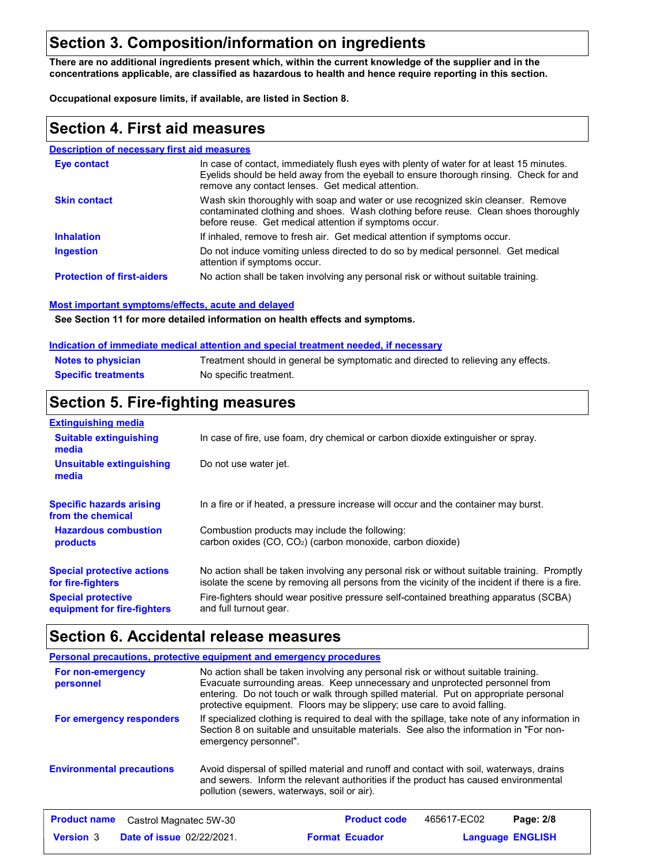## **Section 3. Composition/information on ingredients**

**There are no additional ingredients present which, within the current knowledge of the supplier and in the concentrations applicable, are classified as hazardous to health and hence require reporting in this section.**

**Occupational exposure limits, if available, are listed in Section 8.**

#### **Section 4. First aid measures**

#### **Description of necessary first aid measures**

| <b>Eve contact</b>                | In case of contact, immediately flush eyes with plenty of water for at least 15 minutes.<br>Eyelids should be held away from the eyeball to ensure thorough rinsing. Check for and<br>remove any contact lenses. Get medical attention. |
|-----------------------------------|-----------------------------------------------------------------------------------------------------------------------------------------------------------------------------------------------------------------------------------------|
| <b>Skin contact</b>               | Wash skin thoroughly with soap and water or use recognized skin cleanser. Remove<br>contaminated clothing and shoes. Wash clothing before reuse. Clean shoes thoroughly<br>before reuse. Get medical attention if symptoms occur.       |
| <b>Inhalation</b>                 | If inhaled, remove to fresh air. Get medical attention if symptoms occur.                                                                                                                                                               |
| <b>Ingestion</b>                  | Do not induce vomiting unless directed to do so by medical personnel. Get medical<br>attention if symptoms occur.                                                                                                                       |
| <b>Protection of first-aiders</b> | No action shall be taken involving any personal risk or without suitable training.                                                                                                                                                      |

#### **Most important symptoms/effects, acute and delayed**

**See Section 11 for more detailed information on health effects and symptoms.**

#### **Indication of immediate medical attention and special treatment needed, if necessary**

| <b>Notes to physician</b>  | Treatment should in general be symptomatic and directed to relieving any effects. |
|----------------------------|-----------------------------------------------------------------------------------|
| <b>Specific treatments</b> | No specific treatment.                                                            |

#### **Section 5. Fire-fighting measures**

| <b>Extinguishing media</b>                               |                                                                                                                                                                                                |
|----------------------------------------------------------|------------------------------------------------------------------------------------------------------------------------------------------------------------------------------------------------|
| <b>Suitable extinguishing</b><br>media                   | In case of fire, use foam, dry chemical or carbon dioxide extinguisher or spray.                                                                                                               |
| Unsuitable extinguishing<br>media                        | Do not use water jet.                                                                                                                                                                          |
| <b>Specific hazards arising</b><br>from the chemical     | In a fire or if heated, a pressure increase will occur and the container may burst.                                                                                                            |
| <b>Hazardous combustion</b><br>products                  | Combustion products may include the following:<br>carbon oxides $(CO, CO2)$ (carbon monoxide, carbon dioxide)                                                                                  |
| <b>Special protective actions</b><br>for fire-fighters   | No action shall be taken involving any personal risk or without suitable training. Promptly<br>isolate the scene by removing all persons from the vicinity of the incident if there is a fire. |
| <b>Special protective</b><br>equipment for fire-fighters | Fire-fighters should wear positive pressure self-contained breathing apparatus (SCBA)<br>and full turnout gear.                                                                                |

#### **Section 6. Accidental release measures**

|                                               | <b>Personal precautions, protective equipment and emergency procedures</b>                                                                                                                                                                                                                                                            |
|-----------------------------------------------|---------------------------------------------------------------------------------------------------------------------------------------------------------------------------------------------------------------------------------------------------------------------------------------------------------------------------------------|
| For non-emergency<br>personnel                | No action shall be taken involving any personal risk or without suitable training.<br>Evacuate surrounding areas. Keep unnecessary and unprotected personnel from<br>entering. Do not touch or walk through spilled material. Put on appropriate personal<br>protective equipment. Floors may be slippery; use care to avoid falling. |
| For emergency responders                      | If specialized clothing is required to deal with the spillage, take note of any information in<br>Section 8 on suitable and unsuitable materials. See also the information in "For non-<br>emergency personnel".                                                                                                                      |
| <b>Environmental precautions</b>              | Avoid dispersal of spilled material and runoff and contact with soil, waterways, drains<br>and sewers. Inform the relevant authorities if the product has caused environmental<br>pollution (sewers, waterways, soil or air).                                                                                                         |
| <b>Product name</b><br>Castrol Magnatec 5W-30 | <b>Product code</b><br>465617-EC02<br>Page: 2/8                                                                                                                                                                                                                                                                                       |

**Date of issue** 02/22/2021. **Format Ecuador Format Promover Language ENGLIS Language ENGLISH Ecuador**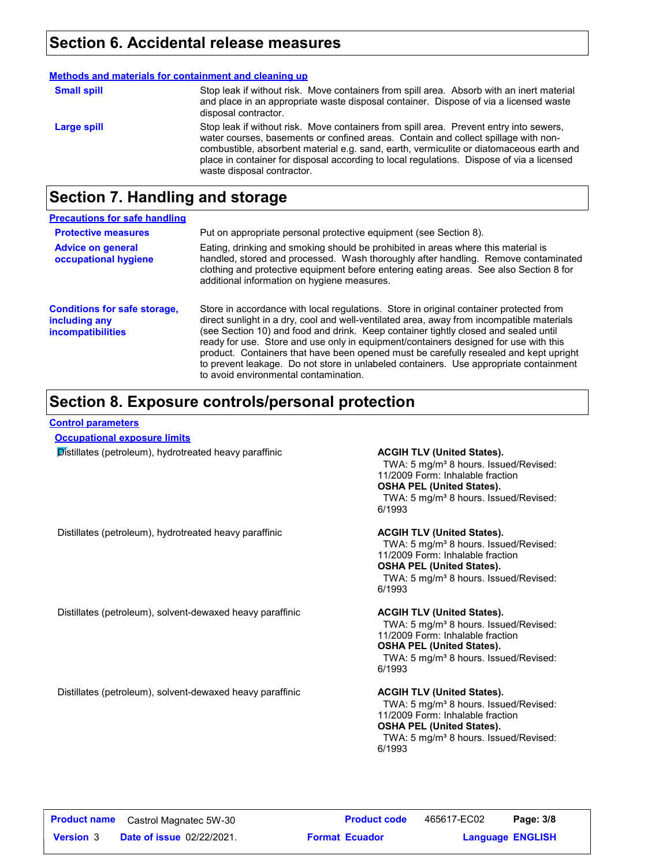#### **Section 6. Accidental release measures**

|                    | Methods and materials for containment and cleaning up                                                                                                                                                                                                                                                                                                                                              |
|--------------------|----------------------------------------------------------------------------------------------------------------------------------------------------------------------------------------------------------------------------------------------------------------------------------------------------------------------------------------------------------------------------------------------------|
| <b>Small spill</b> | Stop leak if without risk. Move containers from spill area. Absorb with an inert material<br>and place in an appropriate waste disposal container. Dispose of via a licensed waste<br>disposal contractor.                                                                                                                                                                                         |
| Large spill        | Stop leak if without risk. Move containers from spill area. Prevent entry into sewers,<br>water courses, basements or confined areas. Contain and collect spillage with non-<br>combustible, absorbent material e.g. sand, earth, vermiculite or diatomaceous earth and<br>place in container for disposal according to local regulations. Dispose of via a licensed<br>waste disposal contractor. |

## **Section 7. Handling and storage**

| <b>Precautions for safe handling</b>                                      |                                                                                                                                                                                                                                                                                                                                                                                                                                                                                                                                                                                               |
|---------------------------------------------------------------------------|-----------------------------------------------------------------------------------------------------------------------------------------------------------------------------------------------------------------------------------------------------------------------------------------------------------------------------------------------------------------------------------------------------------------------------------------------------------------------------------------------------------------------------------------------------------------------------------------------|
| <b>Protective measures</b>                                                | Put on appropriate personal protective equipment (see Section 8).                                                                                                                                                                                                                                                                                                                                                                                                                                                                                                                             |
| <b>Advice on general</b><br>occupational hygiene                          | Eating, drinking and smoking should be prohibited in areas where this material is<br>handled, stored and processed. Wash thoroughly after handling. Remove contaminated<br>clothing and protective equipment before entering eating areas. See also Section 8 for<br>additional information on hygiene measures.                                                                                                                                                                                                                                                                              |
| <b>Conditions for safe storage,</b><br>including any<br>incompatibilities | Store in accordance with local regulations. Store in original container protected from<br>direct sunlight in a dry, cool and well-ventilated area, away from incompatible materials<br>(see Section 10) and food and drink. Keep container tightly closed and sealed until<br>ready for use. Store and use only in equipment/containers designed for use with this<br>product. Containers that have been opened must be carefully resealed and kept upright<br>to prevent leakage. Do not store in unlabeled containers. Use appropriate containment<br>to avoid environmental contamination. |

## **Section 8. Exposure controls/personal protection**

#### **Control parameters**

**Occupational exposure limits**

**Distillates (petroleum), hydrotreated heavy paraffinic <b>ACGIH TLV (United States).** 

TWA: 5 mg/m<sup>3</sup> 8 hours. Issued/Revised: 11/2009 Form: Inhalable fraction **OSHA PEL (United States).** TWA: 5 mg/m<sup>3</sup> 8 hours. Issued/Revised: 6/1993

Distillates (petroleum), hydrotreated heavy paraffinic **ACGIH TLV (United States).**

TWA: 5 mg/m<sup>3</sup> 8 hours. Issued/Revised: 11/2009 Form: Inhalable fraction **OSHA PEL (United States).** TWA: 5 mg/m<sup>3</sup> 8 hours. Issued/Revised: 6/1993

Distillates (petroleum), solvent-dewaxed heavy paraffinic **ACGIH TLV (United States).**

TWA: 5 mg/m<sup>3</sup> 8 hours. Issued/Revised: 11/2009 Form: Inhalable fraction **OSHA PEL (United States).** TWA: 5 mg/m<sup>3</sup> 8 hours. Issued/Revised: 6/1993

Distillates (petroleum), solvent-dewaxed heavy paraffinic **ACGIH TLV (United States).** 

TWA: 5 mg/m<sup>3</sup> 8 hours. Issued/Revised: 11/2009 Form: Inhalable fraction **OSHA PEL (United States).** TWA: 5 mg/m<sup>3</sup> 8 hours. Issued/Revised: 6/1993

|                  | <b>Product name</b> Castrol Magnatec 5W-30 | <b>Product code</b>   | 465617-EC02 | Page: 3/8               |  |
|------------------|--------------------------------------------|-----------------------|-------------|-------------------------|--|
| <b>Version 3</b> | <b>Date of issue 02/22/2021.</b>           | <b>Format Ecuador</b> |             | <b>Language ENGLISH</b> |  |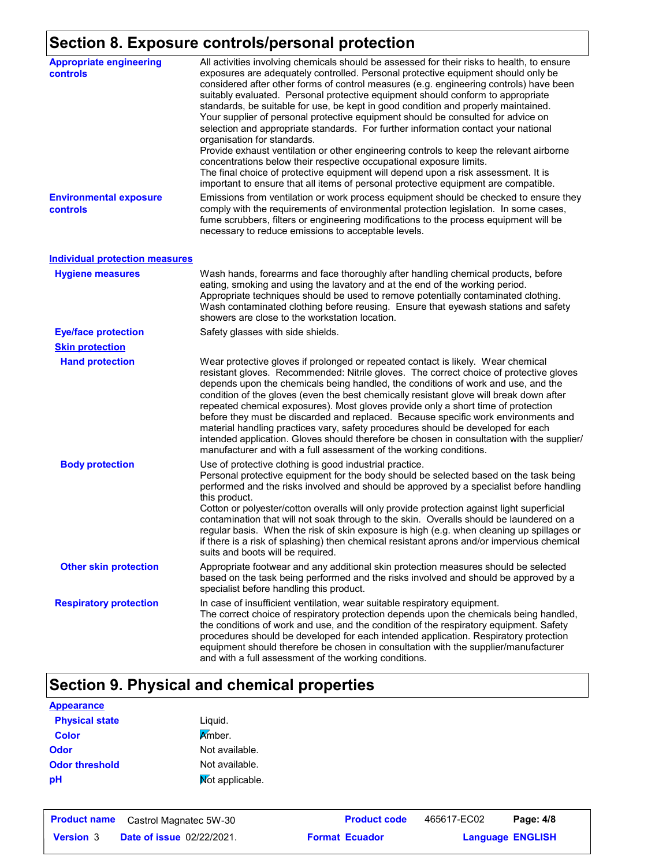## **Section 8. Exposure controls/personal protection**

| <b>Appropriate engineering</b><br><b>controls</b> | All activities involving chemicals should be assessed for their risks to health, to ensure<br>exposures are adequately controlled. Personal protective equipment should only be<br>considered after other forms of control measures (e.g. engineering controls) have been<br>suitably evaluated. Personal protective equipment should conform to appropriate<br>standards, be suitable for use, be kept in good condition and properly maintained.<br>Your supplier of personal protective equipment should be consulted for advice on<br>selection and appropriate standards. For further information contact your national<br>organisation for standards.<br>Provide exhaust ventilation or other engineering controls to keep the relevant airborne<br>concentrations below their respective occupational exposure limits.<br>The final choice of protective equipment will depend upon a risk assessment. It is<br>important to ensure that all items of personal protective equipment are compatible. |
|---------------------------------------------------|------------------------------------------------------------------------------------------------------------------------------------------------------------------------------------------------------------------------------------------------------------------------------------------------------------------------------------------------------------------------------------------------------------------------------------------------------------------------------------------------------------------------------------------------------------------------------------------------------------------------------------------------------------------------------------------------------------------------------------------------------------------------------------------------------------------------------------------------------------------------------------------------------------------------------------------------------------------------------------------------------------|
| <b>Environmental exposure</b><br>controls         | Emissions from ventilation or work process equipment should be checked to ensure they<br>comply with the requirements of environmental protection legislation. In some cases,<br>fume scrubbers, filters or engineering modifications to the process equipment will be<br>necessary to reduce emissions to acceptable levels.                                                                                                                                                                                                                                                                                                                                                                                                                                                                                                                                                                                                                                                                              |
| <b>Individual protection measures</b>             |                                                                                                                                                                                                                                                                                                                                                                                                                                                                                                                                                                                                                                                                                                                                                                                                                                                                                                                                                                                                            |
| <b>Hygiene measures</b>                           | Wash hands, forearms and face thoroughly after handling chemical products, before<br>eating, smoking and using the lavatory and at the end of the working period.<br>Appropriate techniques should be used to remove potentially contaminated clothing.<br>Wash contaminated clothing before reusing. Ensure that eyewash stations and safety<br>showers are close to the workstation location.                                                                                                                                                                                                                                                                                                                                                                                                                                                                                                                                                                                                            |
| <b>Eye/face protection</b>                        | Safety glasses with side shields.                                                                                                                                                                                                                                                                                                                                                                                                                                                                                                                                                                                                                                                                                                                                                                                                                                                                                                                                                                          |
| <b>Skin protection</b>                            |                                                                                                                                                                                                                                                                                                                                                                                                                                                                                                                                                                                                                                                                                                                                                                                                                                                                                                                                                                                                            |
| <b>Hand protection</b>                            | Wear protective gloves if prolonged or repeated contact is likely. Wear chemical<br>resistant gloves. Recommended: Nitrile gloves. The correct choice of protective gloves<br>depends upon the chemicals being handled, the conditions of work and use, and the<br>condition of the gloves (even the best chemically resistant glove will break down after<br>repeated chemical exposures). Most gloves provide only a short time of protection<br>before they must be discarded and replaced. Because specific work environments and<br>material handling practices vary, safety procedures should be developed for each<br>intended application. Gloves should therefore be chosen in consultation with the supplier/<br>manufacturer and with a full assessment of the working conditions.                                                                                                                                                                                                              |
| <b>Body protection</b>                            | Use of protective clothing is good industrial practice.<br>Personal protective equipment for the body should be selected based on the task being<br>performed and the risks involved and should be approved by a specialist before handling<br>this product.<br>Cotton or polyester/cotton overalls will only provide protection against light superficial<br>contamination that will not soak through to the skin. Overalls should be laundered on a<br>regular basis. When the risk of skin exposure is high (e.g. when cleaning up spillages or<br>if there is a risk of splashing) then chemical resistant aprons and/or impervious chemical<br>suits and boots will be required.                                                                                                                                                                                                                                                                                                                      |
| <b>Other skin protection</b>                      | Appropriate footwear and any additional skin protection measures should be selected<br>based on the task being performed and the risks involved and should be approved by a<br>specialist before handling this product.                                                                                                                                                                                                                                                                                                                                                                                                                                                                                                                                                                                                                                                                                                                                                                                    |
| <b>Respiratory protection</b>                     | In case of insufficient ventilation, wear suitable respiratory equipment.<br>The correct choice of respiratory protection depends upon the chemicals being handled,<br>the conditions of work and use, and the condition of the respiratory equipment. Safety<br>procedures should be developed for each intended application. Respiratory protection<br>equipment should therefore be chosen in consultation with the supplier/manufacturer<br>and with a full assessment of the working conditions.                                                                                                                                                                                                                                                                                                                                                                                                                                                                                                      |

## **Section 9. Physical and chemical properties**

| <b>Appearance</b>     |                 |
|-----------------------|-----------------|
| <b>Physical state</b> | Liguid.         |
| <b>Color</b>          | <b>A</b> mber.  |
| <b>Odor</b>           | Not available.  |
| <b>Odor threshold</b> | Not available.  |
| pH                    | Mot applicable. |

|                  | <b>Product name</b> Castrol Magnatec 5W-30 |                       | <b>Product code</b> | 465617-EC02 | Page: 4/8               |  |
|------------------|--------------------------------------------|-----------------------|---------------------|-------------|-------------------------|--|
| <b>Version 3</b> | <b>Date of issue 02/22/2021.</b>           | <b>Format Ecuador</b> |                     |             | <b>Language ENGLISH</b> |  |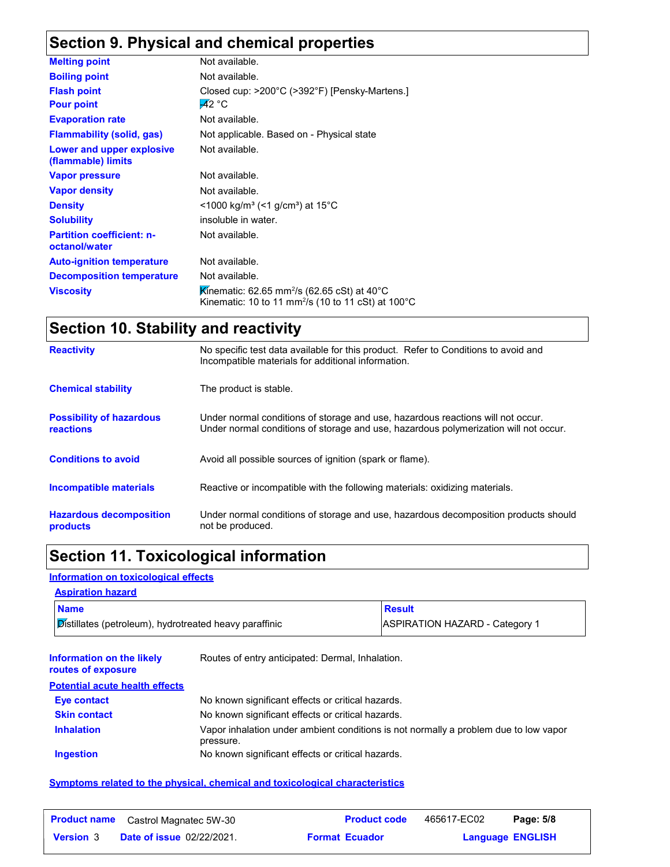## **Section 9. Physical and chemical properties**

| <b>Melting point</b>                              | Not available.                                                                                                                                    |
|---------------------------------------------------|---------------------------------------------------------------------------------------------------------------------------------------------------|
| <b>Boiling point</b>                              | Not available.                                                                                                                                    |
| <b>Flash point</b>                                | Closed cup: $>200^{\circ}$ C ( $>392^{\circ}$ F) [Pensky-Martens.]                                                                                |
| <b>Pour point</b>                                 | $-42 °C$                                                                                                                                          |
| <b>Evaporation rate</b>                           | Not available.                                                                                                                                    |
| <b>Flammability (solid, gas)</b>                  | Not applicable. Based on - Physical state                                                                                                         |
| Lower and upper explosive<br>(flammable) limits   | Not available.                                                                                                                                    |
| <b>Vapor pressure</b>                             | Not available.                                                                                                                                    |
| <b>Vapor density</b>                              | Not available.                                                                                                                                    |
| <b>Density</b>                                    | $\leq$ 1000 kg/m <sup>3</sup> (<1 g/cm <sup>3</sup> ) at 15 <sup>°</sup> C                                                                        |
| <b>Solubility</b>                                 | insoluble in water.                                                                                                                               |
| <b>Partition coefficient: n-</b><br>octanol/water | Not available.                                                                                                                                    |
| <b>Auto-ignition temperature</b>                  | Not available.                                                                                                                                    |
| <b>Decomposition temperature</b>                  | Not available.                                                                                                                                    |
| <b>Viscosity</b>                                  | Kinematic: 62.65 mm <sup>2</sup> /s (62.65 cSt) at 40 <sup>°</sup> C<br>Kinematic: 10 to 11 mm <sup>2</sup> /s (10 to 11 cSt) at 100 $^{\circ}$ C |

## **Section 10. Stability and reactivity**

| <b>Reactivity</b>                                   | No specific test data available for this product. Refer to Conditions to avoid and<br>Incompatible materials for additional information.                                |
|-----------------------------------------------------|-------------------------------------------------------------------------------------------------------------------------------------------------------------------------|
| <b>Chemical stability</b>                           | The product is stable.                                                                                                                                                  |
| <b>Possibility of hazardous</b><br><b>reactions</b> | Under normal conditions of storage and use, hazardous reactions will not occur.<br>Under normal conditions of storage and use, hazardous polymerization will not occur. |
| <b>Conditions to avoid</b>                          | Avoid all possible sources of ignition (spark or flame).                                                                                                                |
| <b>Incompatible materials</b>                       | Reactive or incompatible with the following materials: oxidizing materials.                                                                                             |
| <b>Hazardous decomposition</b><br>products          | Under normal conditions of storage and use, hazardous decomposition products should<br>not be produced.                                                                 |

## **Section 11. Toxicological information**

#### **Information on toxicological effects**

| <b>Aspiration hazard</b>                                      |                                       |
|---------------------------------------------------------------|---------------------------------------|
| <b>Name</b>                                                   | <b>Result</b>                         |
| <b>Distillates (petroleum), hydrotreated heavy paraffinic</b> | <b>ASPIRATION HAZARD - Category 1</b> |

| Information on the likely<br>routes of exposure | Routes of entry anticipated: Dermal, Inhalation.                                                  |
|-------------------------------------------------|---------------------------------------------------------------------------------------------------|
| <b>Potential acute health effects</b>           |                                                                                                   |
| <b>Eye contact</b>                              | No known significant effects or critical hazards.                                                 |
| <b>Skin contact</b>                             | No known significant effects or critical hazards.                                                 |
| <b>Inhalation</b>                               | Vapor inhalation under ambient conditions is not normally a problem due to low vapor<br>pressure. |
| <b>Ingestion</b>                                | No known significant effects or critical hazards.                                                 |

#### **Symptoms related to the physical, chemical and toxicological characteristics**

| <b>Product name</b> | Castrol Magnatec 5W-30           | <b>Product code</b>   | 465617-EC02 | Page: 5/8               |
|---------------------|----------------------------------|-----------------------|-------------|-------------------------|
| <b>Version</b> 3    | <b>Date of issue 02/22/2021.</b> | <b>Format Ecuador</b> |             | <b>Language ENGLISH</b> |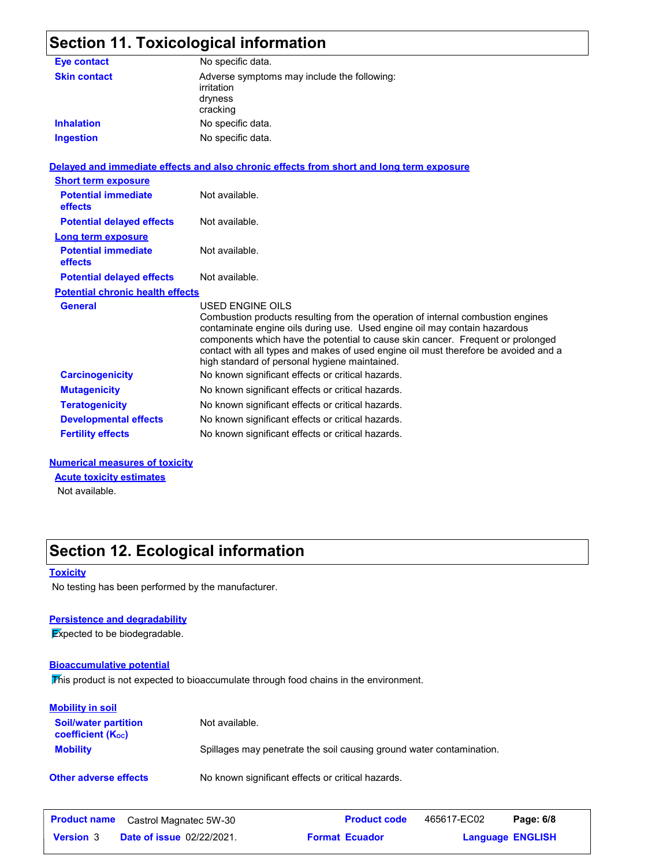## **Section 11. Toxicological information**

| <b>Eye contact</b>                                                  | No specific data.                                                                                                                                                                                                                                                                                                                                                                                                  |
|---------------------------------------------------------------------|--------------------------------------------------------------------------------------------------------------------------------------------------------------------------------------------------------------------------------------------------------------------------------------------------------------------------------------------------------------------------------------------------------------------|
| <b>Skin contact</b>                                                 | Adverse symptoms may include the following:<br>irritation<br>dryness<br>cracking                                                                                                                                                                                                                                                                                                                                   |
| <b>Inhalation</b>                                                   | No specific data.                                                                                                                                                                                                                                                                                                                                                                                                  |
| <b>Ingestion</b>                                                    | No specific data.                                                                                                                                                                                                                                                                                                                                                                                                  |
|                                                                     | Delayed and immediate effects and also chronic effects from short and long term exposure                                                                                                                                                                                                                                                                                                                           |
| <b>Short term exposure</b><br><b>Potential immediate</b><br>effects | Not available.                                                                                                                                                                                                                                                                                                                                                                                                     |
| <b>Potential delayed effects</b>                                    | Not available.                                                                                                                                                                                                                                                                                                                                                                                                     |
| <b>Long term exposure</b>                                           |                                                                                                                                                                                                                                                                                                                                                                                                                    |
| <b>Potential immediate</b><br>effects                               | Not available.                                                                                                                                                                                                                                                                                                                                                                                                     |
| <b>Potential delayed effects</b>                                    | Not available.                                                                                                                                                                                                                                                                                                                                                                                                     |
| <b>Potential chronic health effects</b>                             |                                                                                                                                                                                                                                                                                                                                                                                                                    |
| <b>General</b>                                                      | <b>USED ENGINE OILS</b><br>Combustion products resulting from the operation of internal combustion engines<br>contaminate engine oils during use. Used engine oil may contain hazardous<br>components which have the potential to cause skin cancer. Frequent or prolonged<br>contact with all types and makes of used engine oil must therefore be avoided and a<br>high standard of personal hygiene maintained. |
| <b>Carcinogenicity</b>                                              | No known significant effects or critical hazards.                                                                                                                                                                                                                                                                                                                                                                  |
| <b>Mutagenicity</b>                                                 | No known significant effects or critical hazards.                                                                                                                                                                                                                                                                                                                                                                  |
| <b>Teratogenicity</b>                                               | No known significant effects or critical hazards.                                                                                                                                                                                                                                                                                                                                                                  |
| <b>Developmental effects</b>                                        | No known significant effects or critical hazards.                                                                                                                                                                                                                                                                                                                                                                  |
| <b>Fertility effects</b>                                            | No known significant effects or critical hazards.                                                                                                                                                                                                                                                                                                                                                                  |
|                                                                     |                                                                                                                                                                                                                                                                                                                                                                                                                    |

#### **Numerical measures of toxicity**

**Acute toxicity estimates**

Not available.

## **Section 12. Ecological information**

#### **Toxicity**

No testing has been performed by the manufacturer.

#### **Persistence and degradability**

**Expected to be biodegradable.** 

#### **Bioaccumulative potential**

This product is not expected to bioaccumulate through food chains in the environment.

| <b>Mobility in soil</b>                                       |                                                                      |
|---------------------------------------------------------------|----------------------------------------------------------------------|
| <b>Soil/water partition</b><br>coefficient (K <sub>oc</sub> ) | Not available.                                                       |
| <b>Mobility</b>                                               | Spillages may penetrate the soil causing ground water contamination. |
| <b>Other adverse effects</b>                                  | No known significant effects or critical hazards.                    |

|                  | <b>Product name</b> Castrol Magnatec 5W-30 | <b>Product code</b>   | 465617-EC02 | Page: 6/8               |
|------------------|--------------------------------------------|-----------------------|-------------|-------------------------|
| <b>Version 3</b> | <b>Date of issue 02/22/2021.</b>           | <b>Format Ecuador</b> |             | <b>Language ENGLISH</b> |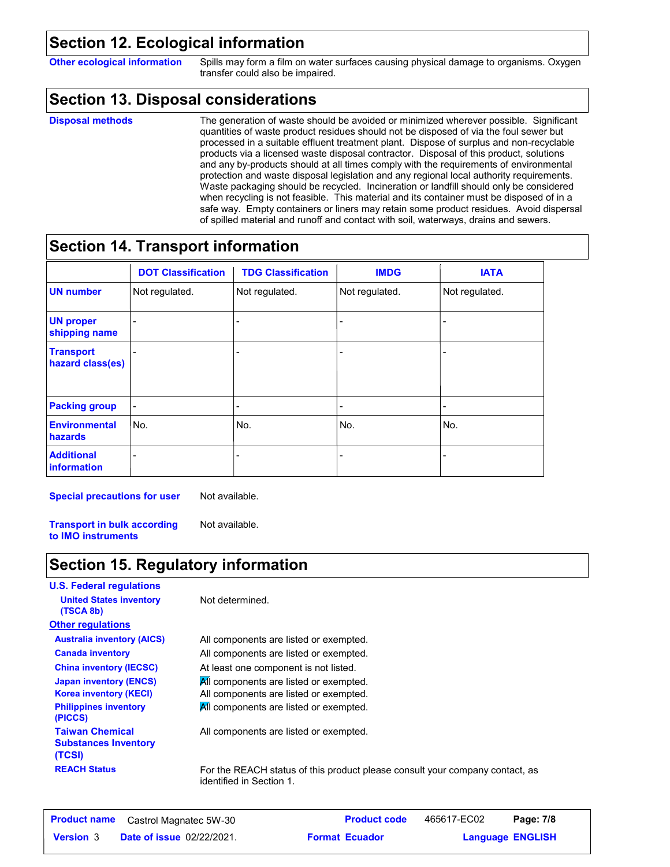#### **Section 12. Ecological information**

**Other ecological information** Spills may form a film on water surfaces causing physical damage to organisms. Oxygen transfer could also be impaired.

#### **Section 13. Disposal considerations**

#### **Disposal methods**

The generation of waste should be avoided or minimized wherever possible. Significant quantities of waste product residues should not be disposed of via the foul sewer but processed in a suitable effluent treatment plant. Dispose of surplus and non-recyclable products via a licensed waste disposal contractor. Disposal of this product, solutions and any by-products should at all times comply with the requirements of environmental protection and waste disposal legislation and any regional local authority requirements. Waste packaging should be recycled. Incineration or landfill should only be considered when recycling is not feasible. This material and its container must be disposed of in a safe way. Empty containers or liners may retain some product residues. Avoid dispersal of spilled material and runoff and contact with soil, waterways, drains and sewers.

### **Section 14. Transport information**

|                                      | <b>DOT Classification</b> | <b>TDG Classification</b> | <b>IMDG</b>              | <b>IATA</b>    |
|--------------------------------------|---------------------------|---------------------------|--------------------------|----------------|
| <b>UN number</b>                     | Not regulated.            | Not regulated.            | Not regulated.           | Not regulated. |
| <b>UN proper</b><br>shipping name    |                           |                           |                          |                |
| <b>Transport</b><br>hazard class(es) |                           |                           |                          |                |
| <b>Packing group</b>                 |                           | -                         | $\overline{\phantom{a}}$ | ٠              |
| <b>Environmental</b><br>hazards      | No.                       | No.                       | No.                      | No.            |
| <b>Additional</b><br>information     |                           |                           |                          |                |

**Special precautions for user**

Not available.

Not available.

**Transport in bulk according to IMO instruments**

## **Section 15. Regulatory information**

**U.S. Federal regulations Other regulations United States inventory** Not determined. **(TSCA 8b)** All components are listed or exempted. At least one component is not listed. All components are listed or exempted. All components are listed or exempted. All components are listed or exempted. **China inventory (IECSC) Japan inventory (ENCS) Korea inventory (KECI) Philippines inventory (PICCS) Australia inventory (AICS) Canada inventory** All components are listed or exempted. **REACH Status** For the REACH status of this product please consult your company contact, as **Taiwan Chemical Substances Inventory (TCSI)** All components are listed or exempted.

identified in Section 1.

|                  | <b>Product name</b> Castrol Magnatec 5W-30 | <b>Product code</b>   | 465617-EC02 | Page: 7/8               |  |
|------------------|--------------------------------------------|-----------------------|-------------|-------------------------|--|
| <b>Version 3</b> | <b>Date of issue 02/22/2021.</b>           | <b>Format Ecuador</b> |             | <b>Language ENGLISH</b> |  |